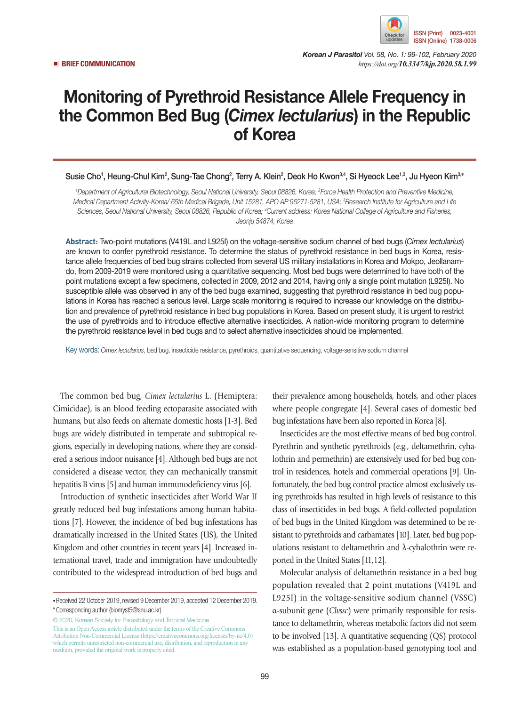

*Korean J Parasitol Vol. 58, No. 1: 99-102, February 2020* ▣ **BRIEF COMMUNICATION** *https://doi.org/10.3347/kjp.2020.58.1.99*

## Monitoring of Pyrethroid Resistance Allele Frequency in the Common Bed Bug (*Cimex lectularius*) in the Republic of Korea

Susie Cho<sup>1</sup>, Heung-Chul Kim<sup>2</sup>, Sung-Tae Chong<sup>2</sup>, Terry A. Klein<sup>2</sup>, Deok Ho Kwon<sup>3,4</sup>, Si Hyeock Lee<sup>1,3</sup>, Ju Hyeon Kim<sup>3,</sup>\*

*1 Department of Agricultural Biotechnology, Seoul National University, Seoul 08826, Korea; 2 Force Health Protection and Preventive Medicine, Medical Department Activity-Korea/ 65th Medical Brigade, Unit 15281, APO AP 96271-5281, USA; 3 Research Institute for Agriculture and Life*  Sciences, Seoul National University, Seoul 08826, Republic of Korea; <sup>4</sup>Current address: Korea National College of Agriculture and Fisheries, *Jeonju 54874, Korea*

**Abstract:** Two-point mutations (V419L and L925I) on the voltage-sensitive sodium channel of bed bugs (*Cimex lectularius*) are known to confer pyrethroid resistance. To determine the status of pyrethroid resistance in bed bugs in Korea, resistance allele frequencies of bed bug strains collected from several US military installations in Korea and Mokpo, Jeollanamdo, from 2009-2019 were monitored using a quantitative sequencing. Most bed bugs were determined to have both of the point mutations except a few specimens, collected in 2009, 2012 and 2014, having only a single point mutation (L925I). No susceptible allele was observed in any of the bed bugs examined, suggesting that pyrethroid resistance in bed bug populations in Korea has reached a serious level. Large scale monitoring is required to increase our knowledge on the distribution and prevalence of pyrethroid resistance in bed bug populations in Korea. Based on present study, it is urgent to restrict the use of pyrethroids and to introduce effective alternative insecticides. A nation-wide monitoring program to determine the pyrethroid resistance level in bed bugs and to select alternative insecticides should be implemented.

Key words: *Cimex lectularius*, bed bug, insecticide resistance, pyrethroids, quantitative sequencing, voltage-sensitive sodium channel

The common bed bug, *Cimex lectularius* L. (Hemiptera: Cimicidae), is an blood feeding ectoparasite associated with humans, but also feeds on alternate domestic hosts [1-3]. Bed bugs are widely distributed in temperate and subtropical regions, especially in developing nations, where they are considered a serious indoor nuisance [4]. Although bed bugs are not considered a disease vector, they can mechanically transmit hepatitis B virus [5] and human immunodeficiency virus [6].

Introduction of synthetic insecticides after World War II greatly reduced bed bug infestations among human habitations [7]. However, the incidence of bed bug infestations has dramatically increased in the United States (US), the United Kingdom and other countries in recent years [4]. Increased international travel, trade and immigration have undoubtedly contributed to the widespread introduction of bed bugs and

© 2020, Korean Society for Parasitology and Tropical Medicine This is an Open Access article distributed under the terms of the Creative Commons Attribution Non-Commercial License (https://creativecommons.org/licenses/by-nc/4.0) which permits unrestricted non-commercial use, distribution, and reproduction in any medium, provided the original work is properly cited.

their prevalence among households, hotels, and other places where people congregate [4]. Several cases of domestic bed bug infestations have been also reported in Korea [8].

Insecticides are the most effective means of bed bug control. Pyrethrin and synthetic pyrethroids (e.g., deltamethrin, cyhalothrin and permethrin) are extensively used for bed bug control in residences, hotels and commercial operations [9]. Unfortunately, the bed bug control practice almost exclusively using pyrethroids has resulted in high levels of resistance to this class of insecticides in bed bugs. A field-collected population of bed bugs in the United Kingdom was determined to be resistant to pyrethroids and carbamates [10]. Later, bed bug populations resistant to deltamethrin and λ-cyhalothrin were reported in the United States [11,12].

Molecular analysis of deltamethrin resistance in a bed bug population revealed that 2 point mutations (V419L and L925I) in the voltage-sensitive sodium channel (VSSC) α-subunit gene (*Clvssc*) were primarily responsible for resistance to deltamethrin, whereas metabolic factors did not seem to be involved [13]. A quantitative sequencing (QS) protocol was established as a population-based genotyping tool and

**<sup>•</sup>**Received 22 October 2019, revised 9 December 2019, accepted 12 December 2019. **\***Corresponding author (biomyst5@snu.ac.kr)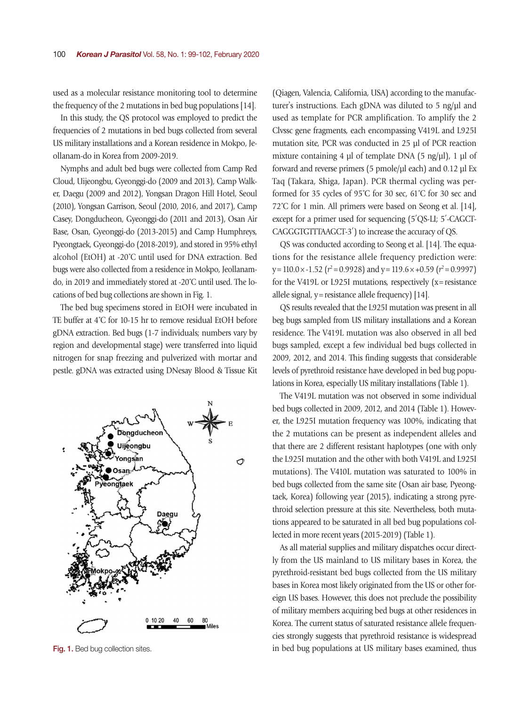used as a molecular resistance monitoring tool to determine the frequency of the 2 mutations in bed bug populations [14].

In this study, the QS protocol was employed to predict the frequencies of 2 mutations in bed bugs collected from several US military installations and a Korean residence in Mokpo, Jeollanam-do in Korea from 2009-2019.

Nymphs and adult bed bugs were collected from Camp Red Cloud, Uijeongbu, Gyeonggi-do (2009 and 2013), Camp Walker, Daegu (2009 and 2012), Yongsan Dragon Hill Hotel, Seoul (2010), Yongsan Garrison, Seoul (2010, 2016, and 2017), Camp Casey, Dongducheon, Gyeonggi-do (2011 and 2013), Osan Air Base, Osan, Gyeonggi-do (2013-2015) and Camp Humphreys, Pyeongtaek, Gyeonggi-do (2018-2019), and stored in 95% ethyl alcohol (EtOH) at -20˚C until used for DNA extraction. Bed bugs were also collected from a residence in Mokpo, Jeollanamdo, in 2019 and immediately stored at -20˚C until used. The locations of bed bug collections are shown in Fig. 1.

The bed bug specimens stored in EtOH were incubated in TE buffer at 4˚C for 10-15 hr to remove residual EtOH before gDNA extraction. Bed bugs (1-7 individuals; numbers vary by region and developmental stage) were transferred into liquid nitrogen for snap freezing and pulverized with mortar and pestle. gDNA was extracted using DNesay Blood & Tissue Kit



(Qiagen, Valencia, California, USA) according to the manufacturer's instructions. Each gDNA was diluted to 5 ng/μl and used as template for PCR amplification. To amplify the 2 Clvssc gene fragments, each encompassing V419L and L925I mutation site, PCR was conducted in 25 μl of PCR reaction mixture containing 4 μl of template DNA (5 ng/μl), 1 μl of forward and reverse primers (5 pmole/μl each) and 0.12 μl Ex Taq (Takara, Shiga, Japan). PCR thermal cycling was performed for 35 cycles of 95˚C for 30 sec, 61˚C for 30 sec and 72˚C for 1 min. All primers were based on Seong et al. [14], except for a primer used for sequencing (5′QS-LI; 5′-CAGCT-CAGGGTGTTTAAGCT-3′) to increase the accuracy of QS.

QS was conducted according to Seong et al. [14]. The equations for the resistance allele frequency prediction were: y=110.0×-1.52 (*r* <sup>2</sup>=0.9928) and y=119.6×+0.59 (*r* <sup>2</sup>=0.9997) for the V419L or L925I mutations, respectively (x=resistance allele signal, y=resistance allele frequency) [14].

QS results revealed that the L925I mutation was present in all beg bugs sampled from US military installations and a Korean residence. The V419L mutation was also observed in all bed bugs sampled, except a few individual bed bugs collected in 2009, 2012, and 2014. This finding suggests that considerable levels of pyrethroid resistance have developed in bed bug populations in Korea, especially US military installations (Table 1).

The V419L mutation was not observed in some individual bed bugs collected in 2009, 2012, and 2014 (Table 1). However, the L925I mutation frequency was 100%, indicating that the 2 mutations can be present as independent alleles and that there are 2 different resistant haplotypes (one with only the L925I mutation and the other with both V419L and L925I mutations). The V410L mutation was saturated to 100% in bed bugs collected from the same site (Osan air base, Pyeongtaek, Korea) following year (2015), indicating a strong pyrethroid selection pressure at this site. Nevertheless, both mutations appeared to be saturated in all bed bug populations collected in more recent years (2015-2019) (Table 1).

As all material supplies and military dispatches occur directly from the US mainland to US military bases in Korea, the pyrethroid-resistant bed bugs collected from the US military bases in Korea most likely originated from the US or other foreign US bases. However, this does not preclude the possibility of military members acquiring bed bugs at other residences in Korea. The current status of saturated resistance allele frequencies strongly suggests that pyrethroid resistance is widespread Fig. 1. Bed bug collection sites. in bed bug populations at US military bases examined, thus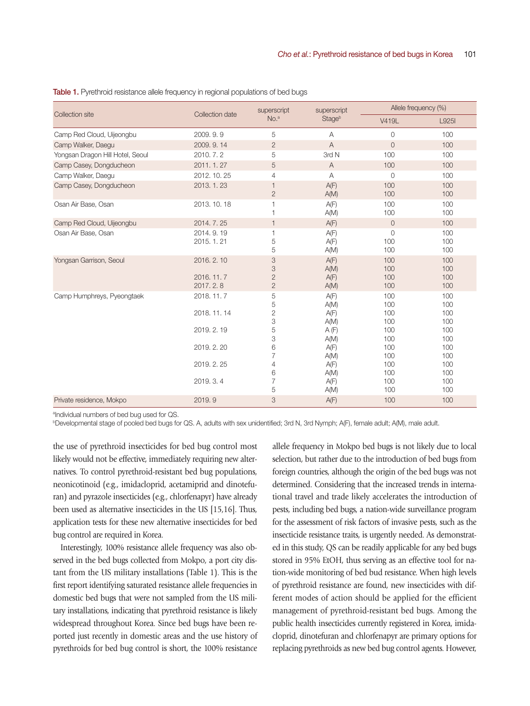| <b>Collection site</b>           | Collection date                        | superscript<br>No. <sup>a</sup>            | superscript<br><b>Stage</b> <sup>b</sup> | Allele frequency (%)         |                          |
|----------------------------------|----------------------------------------|--------------------------------------------|------------------------------------------|------------------------------|--------------------------|
|                                  |                                        |                                            |                                          | V419L                        | L925I                    |
| Camp Red Cloud, Uijeongbu        | 2009.9.9                               | 5                                          | $\overline{A}$                           | $\overline{0}$               | 100                      |
| Camp Walker, Daegu               | 2009.9.14                              | $\overline{2}$                             | $\overline{A}$                           | $\overline{0}$               | 100                      |
| Yongsan Dragon Hill Hotel, Seoul | 2010. 7. 2                             | 5                                          | 3rd N                                    | 100                          | 100                      |
| Camp Casey, Dongducheon          | 2011.1.27                              | 5                                          | $\mathsf{A}$                             | 100                          | 100                      |
| Camp Walker, Daegu               | 2012, 10, 25                           | 4                                          | A                                        | $\overline{0}$               | 100                      |
| Camp Casey, Dongducheon          | 2013. 1. 23                            | $\mathbf{1}$<br>$\overline{2}$             | A(F)<br>A(M)                             | 100<br>100                   | 100<br>100               |
| Osan Air Base, Osan              | 2013. 10. 18                           |                                            | A(F)<br>A(M)                             | 100<br>100                   | 100<br>100               |
| Camp Red Cloud, Uijeongbu        | 2014, 7, 25                            | $\mathbf{1}$                               | A(F)                                     | $\overline{0}$               | 100                      |
| Osan Air Base, Osan              | 2014, 9, 19<br>2015. 1. 21             | 1<br>5<br>5                                | A(F)<br>A(F)<br>A(M)                     | $\overline{0}$<br>100<br>100 | 100<br>100<br>100        |
| Yongsan Garrison, Seoul          | 2016.2.10<br>2016, 11, 7<br>2017, 2, 8 | 3<br>3<br>$\overline{2}$<br>$\overline{2}$ | A(F)<br>A(M)<br>A(F)<br>A(M)             | 100<br>100<br>100<br>100     | 100<br>100<br>100<br>100 |
| Camp Humphreys, Pyeongtaek       | 2018.11.7<br>2018.11.14                | 5<br>5<br>$\overline{2}$                   | A(F)<br>A(M)<br>A(F)                     | 100<br>100<br>100            | 100<br>100<br>100        |
|                                  | 2019.2.19                              | 3<br>5<br>3                                | A(M)<br>A(F)<br>A(M)                     | 100<br>100<br>100            | 100<br>100<br>100        |
|                                  | 2019, 2, 20                            | 6                                          | A(F)<br>A(M)                             | 100<br>100                   | 100<br>100               |
|                                  | 2019.2.25                              | 4<br>6                                     | A(F)<br>A(M)                             | 100<br>100                   | 100<br>100               |
|                                  | 2019.3.4                               | 7<br>5                                     | A(F)<br>A(M)                             | 100<br>100                   | 100<br>100               |
| Private residence, Mokpo         | 2019.9                                 | 3                                          | A(F)                                     | 100                          | 100                      |

Table 1. Pyrethroid resistance allele frequency in regional populations of bed bugs

<sup>a</sup>lndividual numbers of bed bug used for QS.<br>PDevelopmental stage of pooled bed bugs for

**Developmental stage of pooled bed bugs for QS. A, adults with sex unidentified; 3rd N, 3rd Nymph; A(F), female adult; A(M), male adult.** 

the use of pyrethroid insecticides for bed bug control most likely would not be effective, immediately requiring new alternatives. To control pyrethroid-resistant bed bug populations, neonicotinoid (e.g., imidacloprid, acetamiprid and dinotefuran) and pyrazole insecticides (e.g., chlorfenapyr) have already been used as alternative insecticides in the US [15,16]. Thus, application tests for these new alternative insecticides for bed bug control are required in Korea.

Interestingly, 100% resistance allele frequency was also observed in the bed bugs collected from Mokpo, a port city distant from the US military installations (Table 1). This is the first report identifying saturated resistance allele frequencies in domestic bed bugs that were not sampled from the US military installations, indicating that pyrethroid resistance is likely widespread throughout Korea. Since bed bugs have been reported just recently in domestic areas and the use history of pyrethroids for bed bug control is short, the 100% resistance

allele frequency in Mokpo bed bugs is not likely due to local selection, but rather due to the introduction of bed bugs from foreign countries, although the origin of the bed bugs was not determined. Considering that the increased trends in international travel and trade likely accelerates the introduction of pests, including bed bugs, a nation-wide surveillance program for the assessment of risk factors of invasive pests, such as the insecticide resistance traits, is urgently needed. As demonstrated in this study, QS can be readily applicable for any bed bugs stored in 95% EtOH, thus serving as an effective tool for nation-wide monitoring of bed bud resistance. When high levels of pyrethroid resistance are found, new insecticides with different modes of action should be applied for the efficient management of pyrethroid-resistant bed bugs. Among the public health insecticides currently registered in Korea, imidacloprid, dinotefuran and chlorfenapyr are primary options for replacing pyrethroids as new bed bug control agents. However,